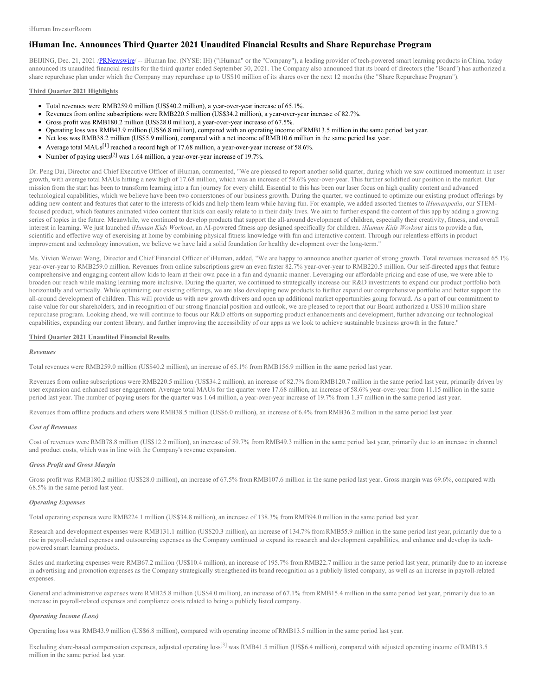# **iHuman Inc. Announces Third Quarter 2021 Unaudited Financial Results and Share Repurchase Program**

BEIJING, Dec. 21, 2021 /[PRNewswire](http://www.prnewswire.com/)/-- iHuman Inc. (NYSE: IH) ("iHuman" or the "Company"), a leading provider of tech-powered smart learning products in China, today announced its unaudited financial results for the third quarter ended September 30, 2021. The Company also announced that its board of directors (the "Board") has authorized a share repurchase plan under which the Company may repurchase up to US\$10 million of its shares over the next 12 months (the "Share Repurchase Program").

### **Third Quarter 2021 Highlights**

- Total revenues were RMB259.0 million (US\$40.2 million), a year-over-year increase of 65.1%.
- Revenues from online subscriptions were RMB220.5 million (US\$34.2 million), a year-over-year increase of 82.7%.
- Gross profit was RMB180.2 million (US\$28.0 million), a year-over-year increase of 67.5%.
- Operating loss was RMB43.9 million (US\$6.8 million), compared with an operating income ofRMB13.5 million in the same period last year.
- Net loss was RMB38.2 million (US\$5.9 million), compared with a net income of RMB10.6 million in the same period last year.
- Average total MAUs<sup>[1]</sup> reached a record high of 17.68 million, a year-over-year increase of 58.6%.
- Number of paying users<sup>[2]</sup> was 1.64 million, a year-over-year increase of 19.7%.

Dr. Peng Dai, Director and Chief Executive Officer of iHuman, commented, "We are pleased to report another solid quarter, during which we saw continued momentum in user growth, with average total MAUs hitting a new high of 17.68 million, which was an increase of 58.6% year-over-year. This further solidified our position in the market. Our mission from the start has been to transform learning into a fun journey for every child. Essential to this has been our laser focus on high quality content and advanced technological capabilities, which we believe have been two cornerstones of our business growth. During the quarter, we continued to optimize our existing product offerings by adding new content and features that cater to the interests of kids and help them learn while having fun. For example, we added assorted themes to *iHumanpedia*, our STEMfocused product, which features animated video content that kids can easily relate to in their daily lives. We aim to further expand the content of this app by adding a growing series of topics in the future. Meanwhile, we continued to develop products that support the all-around development of children, especially their creativity, fitness, and overall interest in learning. We just launched *iHuman Kids Workout*, an AI-powered fitness app designed specifically for children. *iHuman Kids Workout* aims to provide a fun, scientific and effective way of exercising at home by combining physical fitness knowledge with fun and interactive content. Through our relentless efforts in product improvement and technology innovation, we believe we have laid a solid foundation for healthy development over the long-term."

Ms. Vivien Weiwei Wang, Director and Chief Financial Officer of iHuman, added, "We are happy to announce another quarter of strong growth. Total revenues increased 65.1% year-over-year to RMB259.0 million. Revenues from online subscriptions grew an even faster 82.7% year-over-year to RMB220.5 million. Our self-directed apps that feature comprehensive and engaging content allow kids to learn at their own pace in a fun and dynamic manner. Leveraging our affordable pricing and ease of use, we were able to broaden our reach while making learning more inclusive. During the quarter, we continued to strategically increase our R&D investments to expand our product portfolio both horizontally and vertically. While optimizing our existing offerings, we are also developing new products to further expand our comprehensive portfolio and better support the all-around development of children. This will provide us with new growth drivers and open up additional market opportunities going forward. As a part of our commitment to raise value for our shareholders, and in recognition of our strong financial position and outlook, we are pleased to report that our Board authorized a US\$10 million share repurchase program. Looking ahead, we will continue to focus our R&D efforts on supporting product enhancements and development, further advancing our technological capabilities, expanding our content library, and further improving the accessibility of our apps as we look to achieve sustainable business growth in the future."

## **Third Quarter 2021 Unaudited Financial Results**

#### *Revenues*

Total revenues were RMB259.0 million (US\$40.2 million), an increase of 65.1% from RMB156.9 million in the same period last year.

Revenues from online subscriptions were RMB220.5 million (US\$34.2 million), an increase of 82.7% from RMB120.7 million in the same period last year, primarily driven by user expansion and enhanced user engagement. Average total MAUs for the quarter were 17.68 million, an increase of 58.6% year-over-year from 11.15 million in the same period last year. The number of paying users for the quarter was 1.64 million, a year-over-year increase of 19.7% from 1.37 million in the same period last year.

Revenues from offline products and others were RMB38.5 million (US\$6.0 million), an increase of 6.4% from RMB36.2 million in the same period last year.

#### *Cost of Revenues*

Cost of revenues were RMB78.8 million (US\$12.2 million), an increase of 59.7% from RMB49.3 million in the same period last year, primarily due to an increase in channel and product costs, which was in line with the Company's revenue expansion.

### *Gross Profit and Gross Margin*

Gross profit was RMB180.2 million (US\$28.0 million), an increase of 67.5% from RMB107.6 million in the same period last year. Gross margin was 69.6%, compared with 68.5% in the same period last year.

#### *Operating Expenses*

Total operating expenses were RMB224.1 million (US\$34.8 million), an increase of 138.3% from RMB94.0 million in the same period last year.

Research and development expenses were RMB131.1 million (US\$20.3 million), an increase of 134.7% from RMB55.9 million in the same period last year, primarily due to a rise in payroll-related expenses and outsourcing expenses as the Company continued to expand its research and development capabilities, and enhance and develop its techpowered smart learning products.

Sales and marketing expenses were RMB67.2 million (US\$10.4 million), an increase of 195.7% from RMB22.7 million in the same period last year, primarily due to an increase in advertising and promotion expenses as the Company strategically strengthened its brand recognition as a publicly listed company, as well as an increase in payroll-related expenses.

General and administrative expenses were RMB25.8 million (US\$4.0 million), an increase of 67.1% from RMB15.4 million in the same period last year, primarily due to an increase in payroll-related expenses and compliance costs related to being a publicly listed company.

# *Operating Income (Loss)*

Operating loss was RMB43.9 million (US\$6.8 million), compared with operating income ofRMB13.5 million in the same period last year.

Excluding share-based compensation expenses, adjusted operating loss<sup>[3]</sup> was RMB41.5 million (US\$6.4 million), compared with adjusted operating income of RMB13.5 million in the same period last year.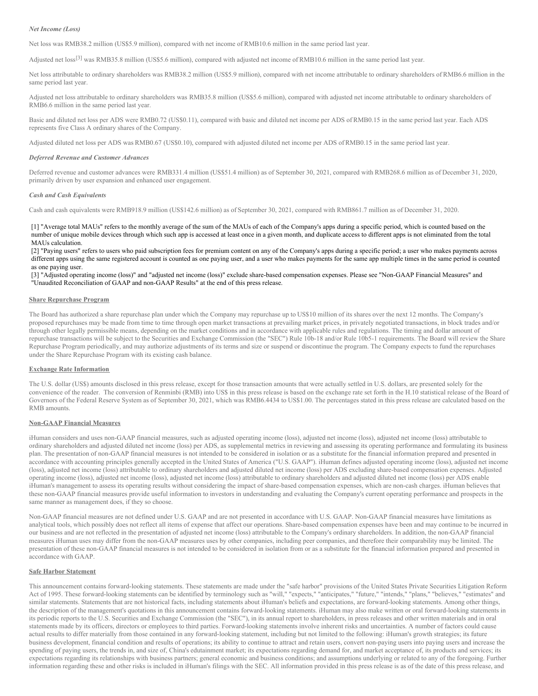## *Net Income (Loss)*

Net loss was RMB38.2 million (US\$5.9 million), compared with net income of RMB10.6 million in the same period last year.

Adjusted net loss<sup>[3]</sup> was RMB35.8 million (US\$5.6 million), compared with adjusted net income of RMB10.6 million in the same period last year.

Net loss attributable to ordinary shareholders was RMB38.2 million (US\$5.9 million), compared with net income attributable to ordinary shareholders of RMB6.6 million in the same period last year.

Adjusted net loss attributable to ordinary shareholders was RMB35.8 million (US\$5.6 million), compared with adjusted net income attributable to ordinary shareholders of RMB6.6 million in the same period last year.

Basic and diluted net loss per ADS were RMB0.72 (US\$0.11), compared with basic and diluted net income per ADS of RMB0.15 in the same period last year. Each ADS represents five Class A ordinary shares of the Company.

Adjusted diluted net loss per ADS was RMB0.67 (US\$0.10), compared with adjusted diluted net income per ADS ofRMB0.15 in the same period last year.

# *Deferred Revenue and Customer Advances*

Deferred revenue and customer advances were RMB331.4 million (US\$51.4 million) as of September 30, 2021, compared with RMB268.6 million as of December 31, 2020, primarily driven by user expansion and enhanced user engagement.

#### *Cash and Cash Equivalents*

Cash and cash equivalents were RMB918.9 million (US\$142.6 million) as of September 30, 2021, compared with RMB861.7 million as of December 31, 2020.

[1] "Average total MAUs" refers to the monthly average of the sum of the MAUs of each of the Company's apps during a specific period, which is counted based on the number of unique mobile devices through which such app is accessed at least once in a given month, and duplicate access to different apps is not eliminated from the total MAUs calculation.

[2] "Paying users" refers to users who paid subscription fees for premium content on any of the Company's apps during a specific period; a user who makes payments across different apps using the same registered account is counted as one paying user, and a user who makes payments for the same app multiple times in the same period is counted as one paying user.

[3] "Adjusted operating income (loss)" and "adjusted net income (loss)" exclude share-based compensation expenses. Please see "Non-GAAP Financial Measures" and "Unaudited Reconciliation of GAAP and non-GAAP Results" at the end of this press release.

## **Share Repurchase Program**

The Board has authorized a share repurchase plan under which the Company may repurchase up to US\$10 million of its shares over the next 12 months. The Company's proposed repurchases may be made from time to time through open market transactions at prevailing market prices, in privately negotiated transactions, in block trades and/or through other legally permissible means, depending on the market conditions and in accordance with applicable rules and regulations. The timing and dollar amount of repurchase transactions will be subject to the Securities and Exchange Commission (the "SEC") Rule 10b-18 and/or Rule 10b5-1 requirements. The Board will review the Share Repurchase Program periodically, and may authorize adjustments of its terms and size or suspend or discontinue the program. The Company expects to fund the repurchases under the Share Repurchase Program with its existing cash balance.

### **Exchange Rate Information**

The U.S. dollar (US\$) amounts disclosed in this press release, except for those transaction amounts that were actually settled in U.S. dollars, are presented solely for the convenience of the reader. The conversion of Renminbi (RMB) into US\$ in this press release is based on the exchange rate set forth in the H.10 statistical release of the Board of Governors of the Federal Reserve System as of September 30, 2021, which was RMB6.4434 to US\$1.00. The percentages stated in this press release are calculated based on the RMB amounts.

### **Non-GAAP Financial Measures**

iHuman considers and uses non-GAAP financial measures, such as adjusted operating income (loss), adjusted net income (loss), adjusted net income (loss) attributable to ordinary shareholders and adjusted diluted net income (loss) per ADS, as supplemental metrics in reviewing and assessing its operating performance and formulating its business plan. The presentation of non-GAAP financial measures is not intended to be considered in isolation or as a substitute for the financial information prepared and presented in accordance with accounting principles generally accepted in the United States of America ("U.S. GAAP"). iHuman defines adjusted operating income (loss), adjusted net income (loss), adjusted net income (loss) attributable to ordinary shareholders and adjusted diluted net income (loss) per ADS excluding share-based compensation expenses. Adjusted operating income (loss), adjusted net income (loss), adjusted net income (loss) attributable to ordinary shareholders and adjusted diluted net income (loss) per ADS enable iHuman's management to assess its operating results without considering the impact of share-based compensation expenses, which are non-cash charges. iHuman believes that these non-GAAP financial measures provide useful information to investors in understanding and evaluating the Company's current operating performance and prospects in the same manner as management does, if they so choose.

Non-GAAP financial measures are not defined under U.S. GAAP and are not presented in accordance with U.S. GAAP. Non-GAAP financial measures have limitations as analytical tools, which possibly does not reflect all items of expense that affect our operations. Share-based compensation expenses have been and may continue to be incurred in our business and are not reflected in the presentation of adjusted net income (loss) attributable to the Company's ordinary shareholders. In addition, the non-GAAP financial measures iHuman uses may differ from the non-GAAP measures uses by other companies, including peer companies, and therefore their comparability may be limited. The presentation of these non-GAAP financial measures is not intended to be considered in isolation from or as a substitute for the financial information prepared and presented in accordance with GAAP.

# **Safe Harbor Statement**

This announcement contains forward-looking statements. These statements are made under the "safe harbor" provisions of the United States Private Securities Litigation Reform Act of 1995. These forward-looking statements can be identified by terminology such as "will," "expects," "anticipates," "future," "intends," "plans," "believes," "estimates" and similar statements. Statements that are not historical facts, including statements about iHuman's beliefs and expectations, are forward-looking statements. Among other things, the description of the management's quotations in this announcement contains forward-looking statements. iHuman may also make written or oral forward-looking statements in its periodic reports to the U.S. Securities and Exchange Commission (the "SEC"), in its annual report to shareholders, in press releases and other written materials and in oral statements made by its officers, directors or employees to third parties. Forward-looking statements involve inherent risks and uncertainties. A number of factors could cause actual results to differ materially from those contained in any forward-looking statement, including but not limited to the following: iHuman's growth strategies; its future business development, financial condition and results of operations; its ability to continue to attract and retain users, convert non-paying users into paying users and increase the spending of paying users, the trends in, and size of, China's edutainment market; its expectations regarding demand for, and market acceptance of, its products and services; its expectations regarding its relationships with business partners; general economic and business conditions; and assumptions underlying or related to any of the foregoing. Further information regarding these and other risks is included in iHuman's filings with the SEC. All information provided in this press release is as of the date of this press release, and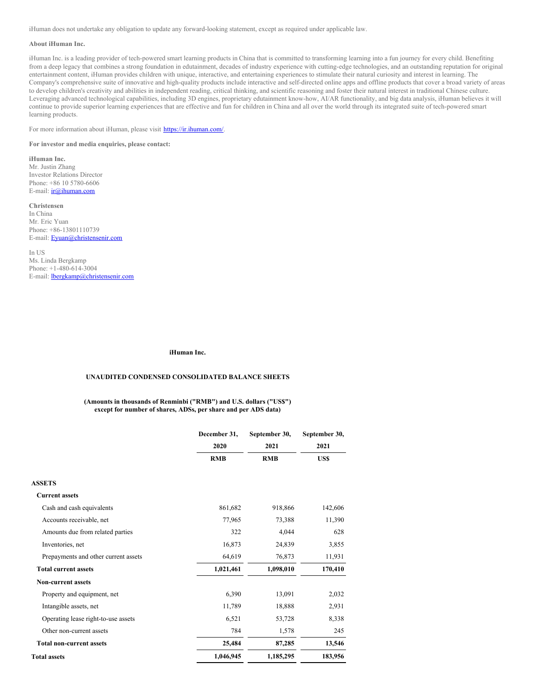iHuman does not undertake any obligation to update any forward-looking statement, except as required under applicable law.

#### **About iHuman Inc.**

iHuman Inc. is a leading provider of tech-powered smart learning products in China that is committed to transforming learning into a fun journey for every child. Benefiting from a deep legacy that combines a strong foundation in edutainment, decades of industry experience with cutting-edge technologies, and an outstanding reputation for original entertainment content, iHuman provides children with unique, interactive, and entertaining experiences to stimulate their natural curiosity and interest in learning. The Company's comprehensive suite of innovative and high-quality products include interactive and self-directed online apps and offline products that cover a broad variety of areas to develop children's creativity and abilities in independent reading, critical thinking, and scientific reasoning and foster their natural interest in traditional Chinese culture. Leveraging advanced technological capabilities, including 3D engines, proprietary edutainment know-how, AI/AR functionality, and big data analysis, iHuman believes it will continue to provide superior learning experiences that are effective and fun for children in China and all over the world through its integrated suite of tech-powered smart learning products.

For more information about iHuman, please visit <https://ir.ihuman.com/>.

**For investor and media enquiries, please contact:**

**iHuman Inc.** Mr. Justin Zhang Investor Relations Director Phone: +86 10 5780-6606 E-mail: [ir@ihuman.com](mailto:ir@ihuman.com)

#### **Christensen**

In China Mr. Eric Yuan Phone: +86-13801110739 E-mail: [Eyuan@christensenir.com](mailto:Eyuan@christensenir.com)

In US Ms. Linda Bergkamp Phone: +1-480-614-3004 E-mail: [lbergkamp@christensenir.com](mailto:lbergkamp@christensenir.com)

#### **iHuman Inc.**

# **UNAUDITED CONDENSED CONSOLIDATED BALANCE SHEETS**

**(Amounts in thousands of Renminbi ("RMB") and U.S. dollars ("US\$") except for number of shares, ADSs, per share and per ADS data)**

|                                      | December 31, | September 30, | September 30, |  |
|--------------------------------------|--------------|---------------|---------------|--|
|                                      | 2020         | 2021          | 2021          |  |
|                                      | <b>RMB</b>   | <b>RMB</b>    | US\$          |  |
| <b>ASSETS</b>                        |              |               |               |  |
| <b>Current assets</b>                |              |               |               |  |
| Cash and cash equivalents            | 861,682      | 918,866       | 142,606       |  |
| Accounts receivable, net             | 77,965       | 73,388        | 11,390        |  |
| Amounts due from related parties     | 322          | 4,044         | 628           |  |
| Inventories, net                     | 16,873       | 24,839        | 3,855         |  |
| Prepayments and other current assets | 64,619       | 76,873        | 11,931        |  |
| <b>Total current assets</b>          | 1,021,461    | 1,098,010     | 170,410       |  |
| <b>Non-current assets</b>            |              |               |               |  |
| Property and equipment, net          | 6,390        | 13,091        | 2,032         |  |
| Intangible assets, net               | 11,789       | 18,888        | 2,931         |  |
| Operating lease right-to-use assets  | 6,521        | 53,728        | 8,338         |  |
| Other non-current assets             | 784          | 1,578         | 245           |  |
| <b>Total non-current assets</b>      | 25,484       | 87,285        | 13,546        |  |
| <b>Total assets</b>                  | 1,046,945    | 1,185,295     | 183,956       |  |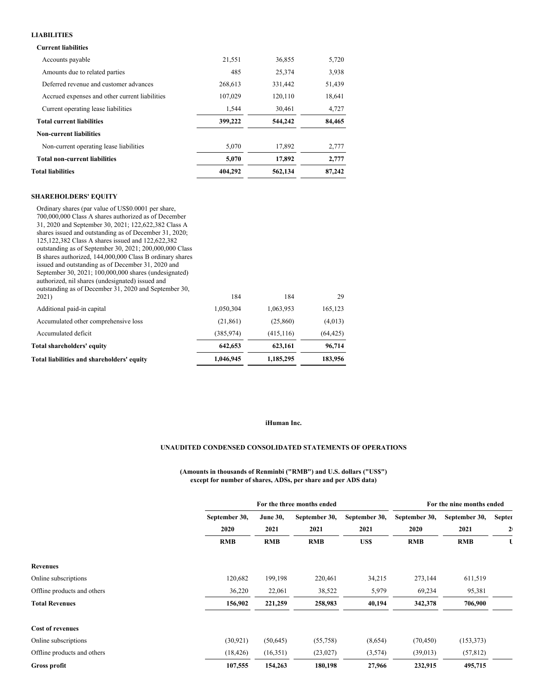# **LIABILITIES**

# **Current liabilities**

| <b>Total liabilities</b>                       | 404.292 | 562,134 | 87.242 |
|------------------------------------------------|---------|---------|--------|
| <b>Total non-current liabilities</b>           | 5,070   | 17,892  | 2,777  |
| Non-current operating lease liabilities        | 5,070   | 17,892  | 2,777  |
| <b>Non-current liabilities</b>                 |         |         |        |
| <b>Total current liabilities</b>               | 399,222 | 544,242 | 84,465 |
| Current operating lease liabilities            | 1.544   | 30,461  | 4,727  |
| Accrued expenses and other current liabilities | 107.029 | 120.110 | 18,641 |
| Deferred revenue and customer advances         | 268,613 | 331,442 | 51,439 |
| Amounts due to related parties                 | 485     | 25,374  | 3,938  |
| Accounts payable                               | 21,551  | 36,855  | 5,720  |
|                                                |         |         |        |

# **SHAREHOLDERS' EQUITY**

# **iHuman Inc.**

# **UNAUDITED CONDENSED CONSOLIDATED STATEMENTS OF OPERATIONS**

#### **(Amounts in thousands of Renminbi ("RMB") and U.S. dollars ("US\$") except for number of shares, ADSs, per share and per ADS data)**

|                             |               | For the three months ended |               |               |               | For the nine months ended |                |  |
|-----------------------------|---------------|----------------------------|---------------|---------------|---------------|---------------------------|----------------|--|
|                             | September 30, | <b>June 30,</b>            | September 30, | September 30, | September 30, | September 30,             | <b>Septer</b>  |  |
|                             | 2020          | 2021                       | 2021          | 2021          | 2020          | 2021                      | 2 <sub>1</sub> |  |
|                             | <b>RMB</b>    | <b>RMB</b>                 | <b>RMB</b>    | US\$          | <b>RMB</b>    | <b>RMB</b>                | τ              |  |
| <b>Revenues</b>             |               |                            |               |               |               |                           |                |  |
| Online subscriptions        | 120,682       | 199,198                    | 220,461       | 34,215        | 273,144       | 611,519                   |                |  |
| Offline products and others | 36,220        | 22,061                     | 38,522        | 5,979         | 69,234        | 95,381                    |                |  |
| <b>Total Revenues</b>       | 156,902       | 221,259                    | 258,983       | 40,194        | 342,378       | 706,900                   |                |  |
| <b>Cost of revenues</b>     |               |                            |               |               |               |                           |                |  |
| Online subscriptions        | (30, 921)     | (50, 645)                  | (55,758)      | (8,654)       | (70, 450)     | (153, 373)                |                |  |
| Offline products and others | (18, 426)     | (16,351)                   | (23,027)      | (3,574)       | (39,013)      | (57, 812)                 |                |  |
| Gross profit                | 107,555       | 154,263                    | 180,198       | 27,966        | 232,915       | 495,715                   |                |  |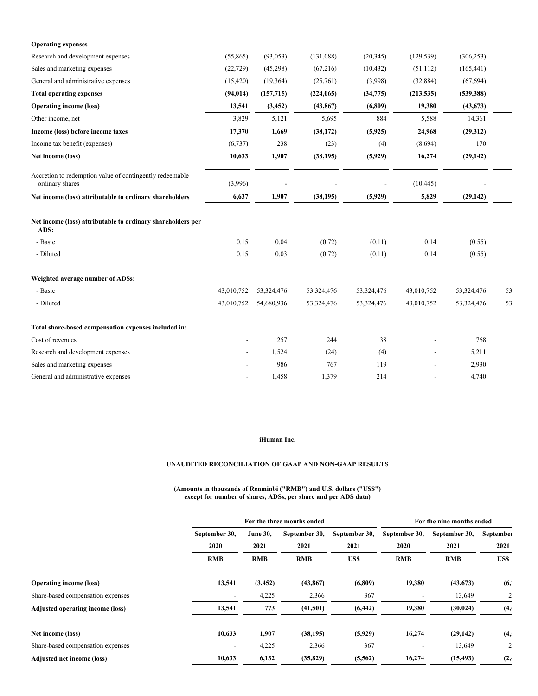| <b>Operating expenses</b>                                                   |            |            |            |            |            |            |    |
|-----------------------------------------------------------------------------|------------|------------|------------|------------|------------|------------|----|
| Research and development expenses                                           | (55,865)   | (93, 053)  | (131,088)  | (20, 345)  | (129, 539) | (306, 253) |    |
| Sales and marketing expenses                                                | (22, 729)  | (45,298)   | (67,216)   | (10, 432)  | (51, 112)  | (165, 441) |    |
| General and administrative expenses                                         | (15, 420)  | (19,364)   | (25,761)   | (3,998)    | (32, 884)  | (67, 694)  |    |
| <b>Total operating expenses</b>                                             | (94, 014)  | (157, 715) | (224, 065) | (34, 775)  | (213, 535) | (539, 388) |    |
| <b>Operating income (loss)</b>                                              | 13,541     | (3, 452)   | (43, 867)  | (6,809)    | 19,380     | (43, 673)  |    |
| Other income, net                                                           | 3,829      | 5,121      | 5,695      | 884        | 5,588      | 14,361     |    |
| Income (loss) before income taxes                                           | 17,370     | 1,669      | (38, 172)  | (5, 925)   | 24,968     | (29,312)   |    |
| Income tax benefit (expenses)                                               | (6,737)    | 238        | (23)       | (4)        | (8,694)    | 170        |    |
| Net income (loss)                                                           | 10,633     | 1,907      | (38, 195)  | (5,929)    | 16,274     | (29, 142)  |    |
| Accretion to redemption value of contingently redeemable<br>ordinary shares | (3,996)    |            |            |            | (10, 445)  |            |    |
| Net income (loss) attributable to ordinary shareholders                     | 6,637      | 1,907      | (38, 195)  | (5,929)    | 5,829      | (29, 142)  |    |
| Net income (loss) attributable to ordinary shareholders per<br>ADS:         |            |            |            |            |            |            |    |
| - Basic                                                                     | 0.15       | 0.04       | (0.72)     | (0.11)     | 0.14       | (0.55)     |    |
| - Diluted                                                                   | 0.15       | 0.03       | (0.72)     | (0.11)     | 0.14       | (0.55)     |    |
| Weighted average number of ADSs:                                            |            |            |            |            |            |            |    |
| - Basic                                                                     | 43,010,752 | 53,324,476 | 53,324,476 | 53,324,476 | 43,010,752 | 53,324,476 | 53 |
| - Diluted                                                                   | 43,010,752 | 54,680,936 | 53,324,476 | 53,324,476 | 43,010,752 | 53,324,476 | 53 |
| Total share-based compensation expenses included in:                        |            |            |            |            |            |            |    |
|                                                                             |            | 257        | 244        | 38         |            | 768        |    |
| Cost of revenues                                                            |            |            |            |            |            |            |    |
| Research and development expenses                                           |            | 1,524      | (24)       | (4)        |            | 5,211      |    |
| Sales and marketing expenses                                                |            | 986        | 767        | 119        |            | 2,930      |    |

# **iHuman Inc.**

# **UNAUDITED RECONCILIATION OF GAAP AND NON-GAAP RESULTS**

#### **(Amounts in thousands of Renminbi ("RMB") and U.S. dollars ("US\$") except for number of shares, ADSs, per share and per ADS data)**

|                                   | For the three months ended |                 |               |               | For the nine months ended |               |           |  |
|-----------------------------------|----------------------------|-----------------|---------------|---------------|---------------------------|---------------|-----------|--|
|                                   | September 30,              | <b>June 30,</b> | September 30, | September 30, | September 30,             | September 30, | September |  |
|                                   | 2020                       | 2021            | 2021          | 2021          | 2020                      | 2021          | 2021      |  |
|                                   | <b>RMB</b>                 | <b>RMB</b>      | <b>RMB</b>    | US\$          | <b>RMB</b>                | <b>RMB</b>    | US\$      |  |
| <b>Operating income (loss)</b>    | 13,541                     | (3, 452)        | (43, 867)     | (6,809)       | 19,380                    | (43, 673)     | (6,       |  |
| Share-based compensation expenses |                            | 4,225           | 2,366         | 367           |                           | 13,649        | 2,        |  |
| Adjusted operating income (loss)  | 13,541                     | 773             | (41,501)      | (6, 442)      | 19,380                    | (30, 024)     | (4, 0)    |  |
| Net income (loss)                 | 10,633                     | 1,907           | (38, 195)     | (5,929)       | 16,274                    | (29, 142)     | (4, 4)    |  |
| Share-based compensation expenses | $\overline{\phantom{a}}$   | 4,225           | 2,366         | 367           |                           | 13,649        | 2.        |  |
| Adjusted net income (loss)        | 10,633                     | 6,132           | (35, 829)     | (5,562)       | 16,274                    | (15, 493)     | (2,4)     |  |